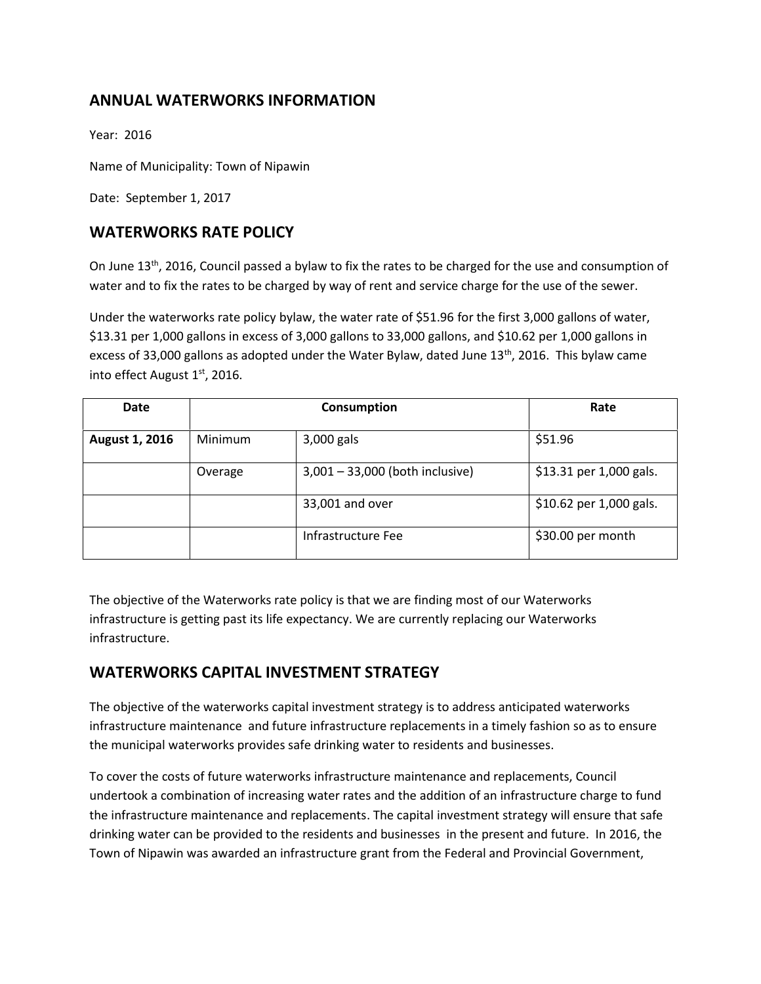# **ANNUAL WATERWORKS INFORMATION**

Year: 2016

Name of Municipality: Town of Nipawin

Date: September 1, 2017

## **WATERWORKS RATE POLICY**

On June 13<sup>th</sup>, 2016, Council passed a bylaw to fix the rates to be charged for the use and consumption of water and to fix the rates to be charged by way of rent and service charge for the use of the sewer.

Under the waterworks rate policy bylaw, the water rate of \$51.96 for the first 3,000 gallons of water, \$13.31 per 1,000 gallons in excess of 3,000 gallons to 33,000 gallons, and \$10.62 per 1,000 gallons in excess of 33,000 gallons as adopted under the Water Bylaw, dated June  $13<sup>th</sup>$ , 2016. This bylaw came into effect August 1<sup>st</sup>, 2016.

| <b>Date</b>           | Consumption |                                 | Rate                    |
|-----------------------|-------------|---------------------------------|-------------------------|
| <b>August 1, 2016</b> | Minimum     | 3,000 gals                      | \$51.96                 |
|                       | Overage     | 3,001 - 33,000 (both inclusive) | \$13.31 per 1,000 gals. |
|                       |             | 33,001 and over                 | \$10.62 per 1,000 gals. |
|                       |             | Infrastructure Fee              | \$30.00 per month       |

The objective of the Waterworks rate policy is that we are finding most of our Waterworks infrastructure is getting past its life expectancy. We are currently replacing our Waterworks infrastructure.

## **WATERWORKS CAPITAL INVESTMENT STRATEGY**

The objective of the waterworks capital investment strategy is to address anticipated waterworks infrastructure maintenance and future infrastructure replacements in a timely fashion so as to ensure the municipal waterworks provides safe drinking water to residents and businesses.

To cover the costs of future waterworks infrastructure maintenance and replacements, Council undertook a combination of increasing water rates and the addition of an infrastructure charge to fund the infrastructure maintenance and replacements. The capital investment strategy will ensure that safe drinking water can be provided to the residents and businesses in the present and future. In 2016, the Town of Nipawin was awarded an infrastructure grant from the Federal and Provincial Government,